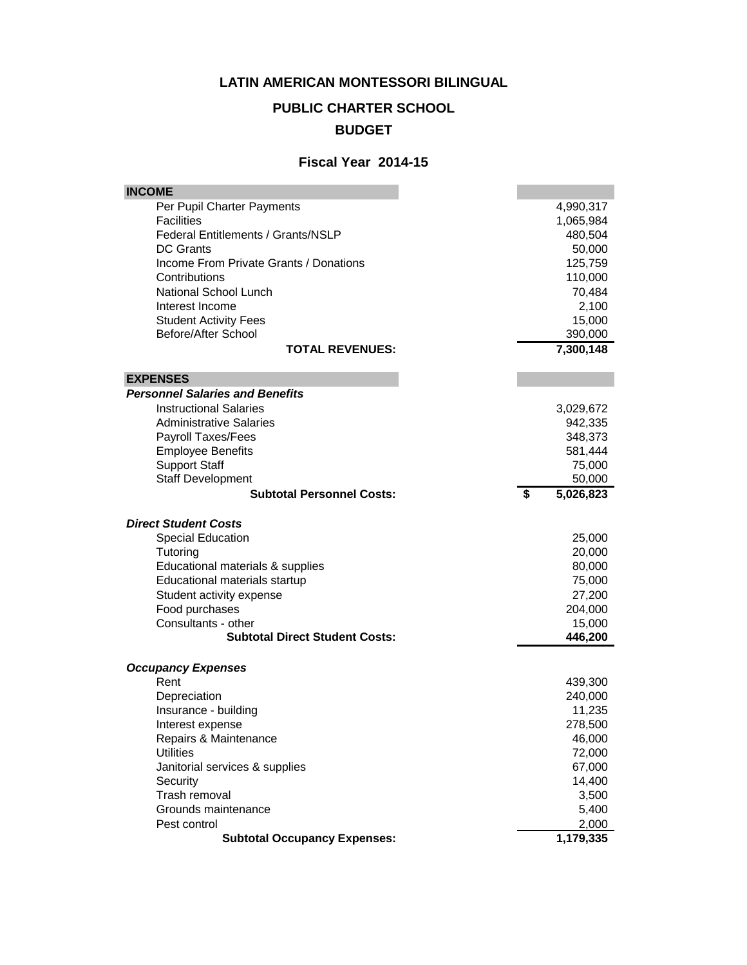#### **LATIN AMERICAN MONTESSORI BILINGUAL**

# **PUBLIC CHARTER SCHOOL**

### **BUDGET**

#### **Fiscal Year 2014-15**

| <b>INCOME</b>                                       |                                          |
|-----------------------------------------------------|------------------------------------------|
| Per Pupil Charter Payments                          | 4,990,317                                |
| <b>Facilities</b>                                   | 1,065,984                                |
| <b>Federal Entitlements / Grants/NSLP</b>           | 480,504                                  |
| <b>DC</b> Grants                                    | 50,000                                   |
| Income From Private Grants / Donations              | 125,759                                  |
| Contributions                                       | 110,000                                  |
| National School Lunch                               | 70,484                                   |
| Interest Income                                     | 2,100                                    |
| <b>Student Activity Fees</b>                        | 15,000                                   |
| Before/After School                                 | 390,000                                  |
| <b>TOTAL REVENUES:</b>                              | 7,300,148                                |
| <b>EXPENSES</b>                                     |                                          |
| <b>Personnel Salaries and Benefits</b>              |                                          |
| <b>Instructional Salaries</b>                       | 3,029,672                                |
| <b>Administrative Salaries</b>                      | 942,335                                  |
| <b>Payroll Taxes/Fees</b>                           | 348,373                                  |
| <b>Employee Benefits</b>                            | 581,444                                  |
| <b>Support Staff</b>                                | 75,000                                   |
| <b>Staff Development</b>                            | 50,000                                   |
| <b>Subtotal Personnel Costs:</b>                    | $\overline{\boldsymbol{s}}$<br>5,026,823 |
|                                                     |                                          |
|                                                     |                                          |
| <b>Direct Student Costs</b>                         |                                          |
| <b>Special Education</b>                            | 25,000                                   |
| Tutoring                                            | 20,000                                   |
| Educational materials & supplies                    | 80,000                                   |
| Educational materials startup                       | 75,000                                   |
| Student activity expense                            | 27,200                                   |
| Food purchases                                      | 204,000                                  |
| Consultants - other                                 | 15,000                                   |
| <b>Subtotal Direct Student Costs:</b>               | 446,200                                  |
|                                                     |                                          |
| <b>Occupancy Expenses</b><br>Rent                   |                                          |
| Depreciation                                        | 439,300<br>240,000                       |
| Insurance - building                                |                                          |
| Interest expense                                    | 11,235<br>278,500                        |
| Repairs & Maintenance                               | 46,000                                   |
| <b>Utilities</b>                                    | 72,000                                   |
| Janitorial services & supplies                      | 67,000                                   |
| Security                                            | 14,400                                   |
| Trash removal                                       | 3,500                                    |
| Grounds maintenance                                 | 5,400                                    |
| Pest control<br><b>Subtotal Occupancy Expenses:</b> | 2,000<br>1,179,335                       |